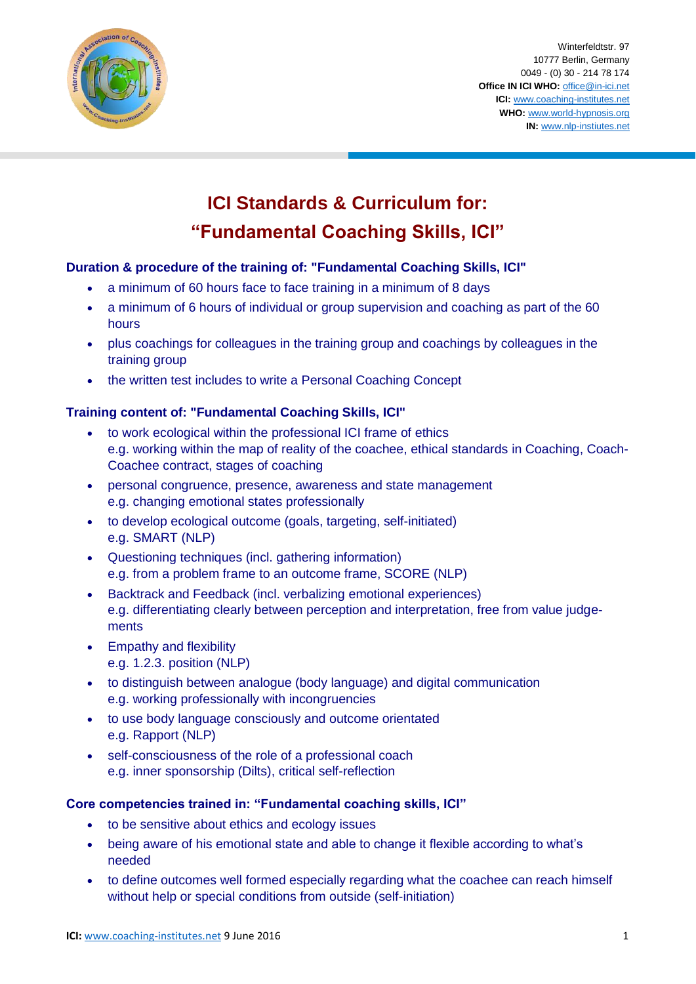

Winterfeldtstr. 97 10777 Berlin, Germany 0049 - (0) 30 - 214 78 174 **Office IN ICI WHO:** [office@in-ici.net](mailto:office@in-ici.net) **ICI:** [www.coaching-institutes.net](http://www.coaching-institutes.net/) **WHO:** [www.world-hypnosis.org](http://www.world-hypnosis.org/) **IN:** [www.nlp-instiutes.net](http://www.nlp-instiutes.net/)

# **ICI Standards & Curriculum for: "Fundamental Coaching Skills, ICI"**

## **Duration & procedure of the training of: "Fundamental Coaching Skills, ICI"**

- a minimum of 60 hours face to face training in a minimum of 8 days
- a minimum of 6 hours of individual or group supervision and coaching as part of the 60 hours
- plus coachings for colleagues in the training group and coachings by colleagues in the training group
- the written test includes to write a Personal Coaching Concept

## **Training content of: "Fundamental Coaching Skills, ICI"**

- to work ecological within the professional ICI frame of ethics e.g. working within the map of reality of the coachee, ethical standards in Coaching, Coach-Coachee contract, stages of coaching
- personal congruence, presence, awareness and state management e.g. changing emotional states professionally
- to develop ecological outcome (goals, targeting, self-initiated) e.g. SMART (NLP)
- Questioning techniques (incl. gathering information) e.g. from a problem frame to an outcome frame, SCORE (NLP)
- Backtrack and Feedback (incl. verbalizing emotional experiences) e.g. differentiating clearly between perception and interpretation, free from value judgements
- Empathy and flexibility e.g. 1.2.3. position (NLP)
- to distinguish between analogue (body language) and digital communication e.g. working professionally with incongruencies
- to use body language consciously and outcome orientated e.g. Rapport (NLP)
- self-consciousness of the role of a professional coach e.g. inner sponsorship (Dilts), critical self-reflection

## **Core competencies trained in: "Fundamental coaching skills, ICI"**

- to be sensitive about ethics and ecology issues
- being aware of his emotional state and able to change it flexible according to what's needed
- to define outcomes well formed especially regarding what the coachee can reach himself without help or special conditions from outside (self-initiation)